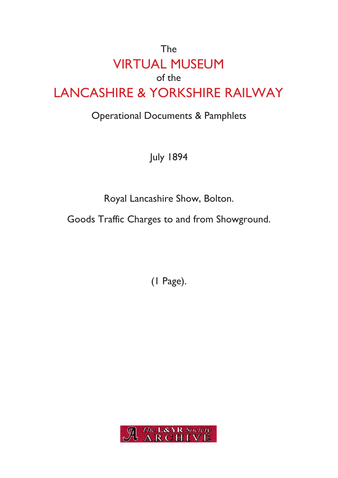## The VIRTUAL MUSEUM of the LANCASHIRE & YORKSHIRE RAILWAY

## Operational Documents & Pamphlets

July 1894

Royal Lancashire Show, Bolton.

Goods Traffic Charges to and from Showground.

(1 Page).